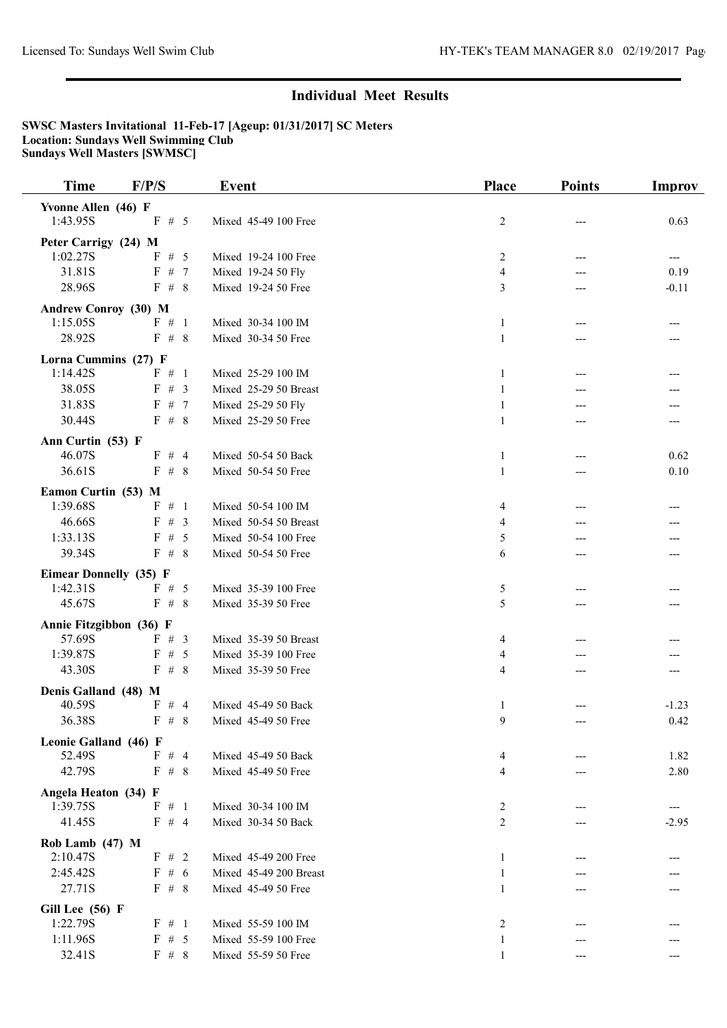| <b>Time</b>                   | F/P/S    | <b>Event</b>           | <b>Place</b> | <b>Points</b> | <b>Improv</b> |
|-------------------------------|----------|------------------------|--------------|---------------|---------------|
| Yvonne Allen (46) F           |          |                        |              |               |               |
| 1:43.95S                      | $F \# 5$ | Mixed 45-49 100 Free   | 2            |               | 0.63          |
| Peter Carrigy (24) M          |          |                        |              |               |               |
| 1:02.27S                      | F # 5    | Mixed 19-24 100 Free   | 2            | ---           | ---           |
| 31.81S                        | F # 7    | Mixed 19-24 50 Fly     | 4            |               | 0.19          |
| 28.96S                        | F# 8     | Mixed 19-24 50 Free    | 3            | ---           | $-0.11$       |
| <b>Andrew Conroy (30) M</b>   |          |                        |              |               |               |
| 1:15.05S                      | $F \# 1$ | Mixed 30-34 100 IM     | $\mathbf{1}$ |               |               |
| 28.92S                        | F# 8     | Mixed 30-34 50 Free    | $\mathbf{1}$ |               |               |
| Lorna Cummins (27) F          |          |                        |              |               |               |
| 1:14.42S                      | $F \# 1$ | Mixed 25-29 100 IM     | 1            | ---           | ---           |
| 38.05S                        | F # 3    | Mixed 25-29 50 Breast  | 1            |               |               |
| 31.83S                        | F# 7     | Mixed 25-29 50 Fly     | $\mathbf{1}$ |               |               |
| 30.44S                        | F# 8     | Mixed 25-29 50 Free    | 1            | ---           | ---           |
| Ann Curtin (53) F             |          |                        |              |               |               |
| 46.07S                        | $F \# 4$ | Mixed 50-54 50 Back    | 1            |               | 0.62          |
| 36.61S                        | F # 8    | Mixed 50-54 50 Free    | $\mathbf{1}$ |               | 0.10          |
| Eamon Curtin (53) M           |          |                        |              |               |               |
| 1:39.68S                      | $F \# 1$ | Mixed 50-54 100 IM     | 4            | ---           |               |
| 46.66S                        | $F \# 3$ | Mixed 50-54 50 Breast  | 4            |               |               |
| 1:33.13S                      | F # 5    | Mixed 50-54 100 Free   | 5            |               |               |
| 39.34S                        | F# 8     | Mixed 50-54 50 Free    | 6            | ---           |               |
| <b>Eimear Donnelly (35) F</b> |          |                        |              |               |               |
| 1:42.31S                      | F # 5    | Mixed 35-39 100 Free   | 5            |               |               |
| 45.67S                        | $F \# 8$ | Mixed 35-39 50 Free    | 5            | ---           |               |
| Annie Fitzgibbon (36) F       |          |                        |              |               |               |
| 57.69S                        | $F \# 3$ | Mixed 35-39 50 Breast  | 4            |               |               |
| 1:39.87S                      | F# 5     | Mixed 35-39 100 Free   | 4            |               |               |
| 43.30S                        | F# 8     | Mixed 35-39 50 Free    | 4            |               |               |
| Denis Galland (48) M          |          |                        |              |               |               |
| 40.59S                        | $F \# 4$ | Mixed 45-49 50 Back    | 1            |               | $-1.23$       |
| 36.38S                        | $F \# 8$ | Mixed 45-49 50 Free    | $\mathbf Q$  |               | 0.42          |
| Leonie Galland (46) F         |          |                        |              |               |               |
| 52.49S                        | $F \# 4$ | Mixed 45-49 50 Back    | 4            |               | 1.82          |
| 42.79S                        | F# 8     | Mixed 45-49 50 Free    | 4            |               | 2.80          |
| Angela Heaton (34) F          |          |                        |              |               |               |
| 1:39.75S                      | $F \# 1$ | Mixed 30-34 100 IM     | 2            |               | ---           |
| 41.45S                        | F # 4    | Mixed 30-34 50 Back    | 2            |               | $-2.95$       |
| Rob Lamb (47) M               |          |                        |              |               |               |
| 2:10.47S                      | $F \# 2$ | Mixed 45-49 200 Free   | 1            |               |               |
| 2:45.42S                      | $F \# 6$ | Mixed 45-49 200 Breast | 1            |               |               |
| 27.71S                        | $F \# 8$ | Mixed 45-49 50 Free    | 1            |               |               |
| Gill Lee (56) F               |          |                        |              |               |               |
| 1:22.79S                      | $F \# 1$ | Mixed 55-59 100 IM     | 2            |               |               |
| 1:11.96S                      | F # 5    | Mixed 55-59 100 Free   | 1            |               |               |
| 32.41S                        | F # 8    | Mixed 55-59 50 Free    | 1            |               |               |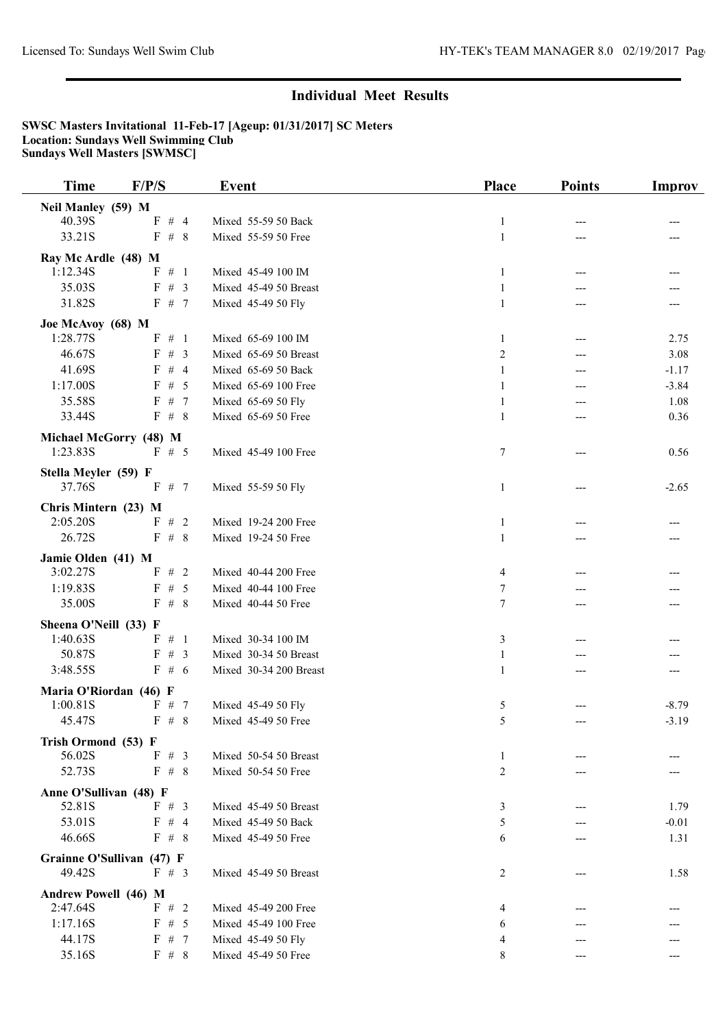| <b>Time</b>                      | F/P/S                     | <b>Event</b>           | <b>Place</b> | <b>Points</b> | <b>Improv</b> |
|----------------------------------|---------------------------|------------------------|--------------|---------------|---------------|
| Neil Manley (59) M               |                           |                        |              |               |               |
| 40.39S                           | F # 4                     | Mixed 55-59 50 Back    | $\mathbf{1}$ |               |               |
| 33.21S                           | F # 8                     | Mixed 55-59 50 Free    | $\mathbf{1}$ |               |               |
| Ray Mc Ardle (48) M              |                           |                        |              |               |               |
| 1:12.34S                         | $F \# 1$                  | Mixed 45-49 100 IM     | 1            | ---           |               |
| 35.03S                           | F # 3                     | Mixed 45-49 50 Breast  | $\mathbf{1}$ |               |               |
| 31.82S                           | F # 7                     | Mixed 45-49 50 Fly     | $\mathbf{1}$ |               |               |
| Joe McAvoy (68) M                |                           |                        |              |               |               |
| 1:28.77S                         | $F \# 1$                  | Mixed 65-69 100 IM     | 1            | ---           | 2.75          |
| 46.67S                           | F # 3                     | Mixed 65-69 50 Breast  | 2            | ---           | 3.08          |
| 41.69S                           | $F \# 4$                  | Mixed 65-69 50 Back    | 1            | ---           | $-1.17$       |
| 1:17.00S                         | F # 5                     | Mixed 65-69 100 Free   | $\mathbf{1}$ |               | $-3.84$       |
| 35.58S                           | F # 7                     | Mixed 65-69 50 Fly     | $\mathbf{1}$ |               | 1.08          |
| 33.44S                           | F# 8                      | Mixed 65-69 50 Free    | $\mathbf{1}$ |               | 0.36          |
|                                  | Michael McGorry (48) M    |                        |              |               |               |
| 1:23.83S                         | $F \# 5$                  | Mixed 45-49 100 Free   | $\tau$       | ---           | 0.56          |
|                                  |                           |                        |              |               |               |
| Stella Meyler (59) F             |                           |                        |              |               |               |
| 37.76S                           | F # 7                     | Mixed 55-59 50 Fly     | 1            | ---           | $-2.65$       |
| Chris Mintern (23) M             |                           |                        |              |               |               |
| 2:05.20S                         | $F \# 2$                  | Mixed 19-24 200 Free   | 1            |               |               |
| 26.72S                           | F # 8                     | Mixed 19-24 50 Free    | $\mathbf{1}$ |               |               |
| Jamie Olden (41) M               |                           |                        |              |               |               |
| 3:02.27S                         | F#2                       | Mixed 40-44 200 Free   | 4            |               |               |
| 1:19.83S                         | F # 5                     | Mixed 40-44 100 Free   | 7            |               |               |
| 35.00S                           | F# 8                      | Mixed 40-44 50 Free    | 7            | ---           |               |
| Sheena O'Neill (33) F            |                           |                        |              |               |               |
| 1:40.63S                         | $F \# 1$                  | Mixed 30-34 100 IM     | 3            |               |               |
| 50.87S                           | $F \# 3$                  | Mixed 30-34 50 Breast  | $\mathbf{1}$ |               |               |
| 3:48.55S                         | F#6                       | Mixed 30-34 200 Breast | 1            |               |               |
| Maria O'Riordan (46) F           |                           |                        |              |               |               |
| 1:00.81S                         | F# 7                      | Mixed 45-49 50 Fly     | 5            |               | $-8.79$       |
| 45.47S                           | $F \# 8$                  | Mixed 45-49 50 Free    | 5            |               | $-3.19$       |
| Trish Ormond (53) F              |                           |                        |              |               |               |
| 56.02S                           | $F \# 3$                  | Mixed 50-54 50 Breast  | 1            |               |               |
| 52.73S                           | F# 8                      | Mixed 50-54 50 Free    | 2            |               |               |
|                                  |                           |                        |              |               |               |
| Anne O'Sullivan (48) F<br>52.81S | $F \# 3$                  | Mixed 45-49 50 Breast  | 3            |               | 1.79          |
| 53.01S                           | $F \# 4$                  | Mixed 45-49 50 Back    | 5            |               | $-0.01$       |
| 46.66S                           | $F \# 8$                  | Mixed 45-49 50 Free    | 6            |               | 1.31          |
|                                  |                           |                        |              |               |               |
|                                  | Grainne O'Sullivan (47) F |                        |              |               |               |
| 49.42S                           | F # 3                     | Mixed 45-49 50 Breast  | 2            |               | 1.58          |
| Andrew Powell (46) M             |                           |                        |              |               |               |
| 2:47.64S                         | $F \# 2$                  | Mixed 45-49 200 Free   | 4            |               |               |
| 1:17.16S                         | F # 5                     | Mixed 45-49 100 Free   | 6            |               |               |
| 44.17S                           | F # 7                     | Mixed 45-49 50 Fly     | 4            |               |               |
| 35.16S                           | F # 8                     | Mixed 45-49 50 Free    | 8            |               |               |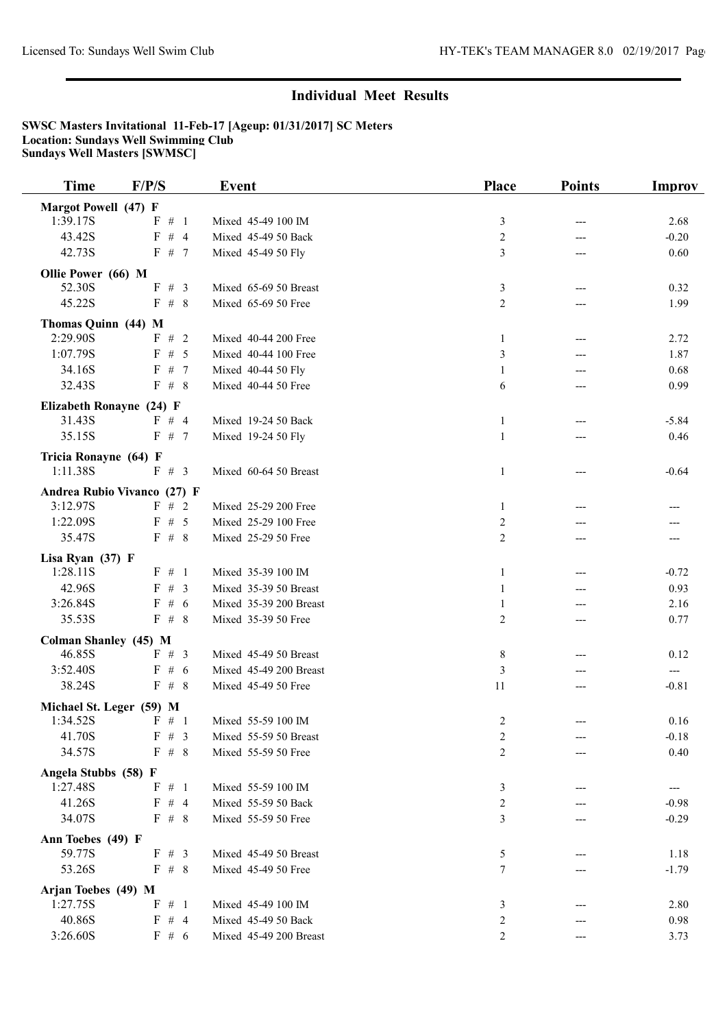| <b>Time</b>                     | F/P/S                       | <b>Event</b>           | <b>Place</b>   | <b>Points</b> | Improv  |
|---------------------------------|-----------------------------|------------------------|----------------|---------------|---------|
| <b>Margot Powell (47) F</b>     |                             |                        |                |               |         |
| 1:39.17S                        | $F \# 1$                    | Mixed 45-49 100 IM     | 3              | ---           | 2.68    |
| 43.42S                          | F # 4                       | Mixed 45-49 50 Back    | 2              | ---           | $-0.20$ |
| 42.73S                          | F # 7                       | Mixed 45-49 50 Fly     | 3              |               | 0.60    |
| Ollie Power (66) M              |                             |                        |                |               |         |
| 52.30S                          | F # 3                       | Mixed 65-69 50 Breast  | 3              | ---           | 0.32    |
| 45.22S                          | F# 8                        | Mixed 65-69 50 Free    | $\overline{2}$ |               | 1.99    |
|                                 |                             |                        |                |               |         |
| Thomas Quinn (44) M<br>2:29.90S | F#2                         | Mixed 40-44 200 Free   | 1              | ---           | 2.72    |
| 1:07.79S                        | F # 5                       | Mixed 40-44 100 Free   | 3              | ---           | 1.87    |
| 34.16S                          | F # 7                       | Mixed 40-44 50 Fly     | 1              |               | 0.68    |
| 32.43S                          | F# 8                        | Mixed 40-44 50 Free    | 6              |               | 0.99    |
|                                 |                             |                        |                |               |         |
| Elizabeth Ronayne (24) F        |                             |                        |                |               |         |
| 31.43S                          | $F \# 4$                    | Mixed 19-24 50 Back    | 1              | ---           | $-5.84$ |
| 35.15S                          | F# 7                        | Mixed 19-24 50 Fly     | $\mathbf{1}$   | ---           | 0.46    |
| Tricia Ronayne (64) F           |                             |                        |                |               |         |
| 1:11.38S                        | F # 3                       | Mixed 60-64 50 Breast  | 1              | ---           | $-0.64$ |
|                                 | Andrea Rubio Vivanco (27) F |                        |                |               |         |
| 3:12.97S                        | $F \# 2$                    | Mixed 25-29 200 Free   | 1              |               |         |
| 1:22.09S                        | F # 5                       | Mixed 25-29 100 Free   | 2              |               |         |
| 35.47S                          | F# 8                        | Mixed 25-29 50 Free    | $\overline{2}$ | ---           |         |
| Lisa Ryan (37) F                |                             |                        |                |               |         |
| 1:28.11S                        | $F \# 1$                    | Mixed 35-39 100 IM     | 1              | ---           | $-0.72$ |
| 42.96S                          | F # 3                       | Mixed 35-39 50 Breast  | 1              | ---           | 0.93    |
| 3:26.84S                        | F#6                         | Mixed 35-39 200 Breast | 1              |               | 2.16    |
| 35.53S                          | F# 8                        | Mixed 35-39 50 Free    | 2              | ---           | 0.77    |
| Colman Shanley (45) M           |                             |                        |                |               |         |
| 46.85S                          | F # 3                       | Mixed 45-49 50 Breast  | 8              |               | 0.12    |
| 3:52.40S                        | F#6                         | Mixed 45-49 200 Breast | 3              |               | $---$   |
| 38.24S                          | F# 8                        | Mixed 45-49 50 Free    | 11             |               | $-0.81$ |
|                                 |                             |                        |                |               |         |
| Michael St. Leger (59) M        | 1:34.52S F # 1              | Mixed 55-59 100 IM     | 2              |               | 0.16    |
| 41.70S                          | $F \# 3$                    | Mixed 55-59 50 Breast  | 2              |               | $-0.18$ |
| 34.57S                          | F# 8                        | Mixed 55-59 50 Free    | 2              |               | 0.40    |
|                                 |                             |                        |                |               |         |
| Angela Stubbs (58) F            |                             |                        |                |               |         |
| 1:27.48S                        | $F \# 1$                    | Mixed 55-59 100 IM     | 3              |               | ---     |
| 41.26S                          | $F \# 4$                    | Mixed 55-59 50 Back    | 2              |               | $-0.98$ |
| 34.07S                          | $F \# 8$                    | Mixed 55-59 50 Free    | 3              |               | $-0.29$ |
| Ann Toebes (49) F               |                             |                        |                |               |         |
| 59.77S                          | $F \# 3$                    | Mixed 45-49 50 Breast  | 5              |               | 1.18    |
| 53.26S                          | F# 8                        | Mixed 45-49 50 Free    | 7              |               | $-1.79$ |
| Arjan Toebes (49) M             |                             |                        |                |               |         |
| 1:27.75S                        | $F \# 1$                    | Mixed 45-49 100 IM     | 3              |               | 2.80    |
| 40.86S                          | $F \# 4$                    | Mixed 45-49 50 Back    | 2              |               | 0.98    |
| 3:26.60S                        | $F \# 6$                    | Mixed 45-49 200 Breast | 2              |               | 3.73    |